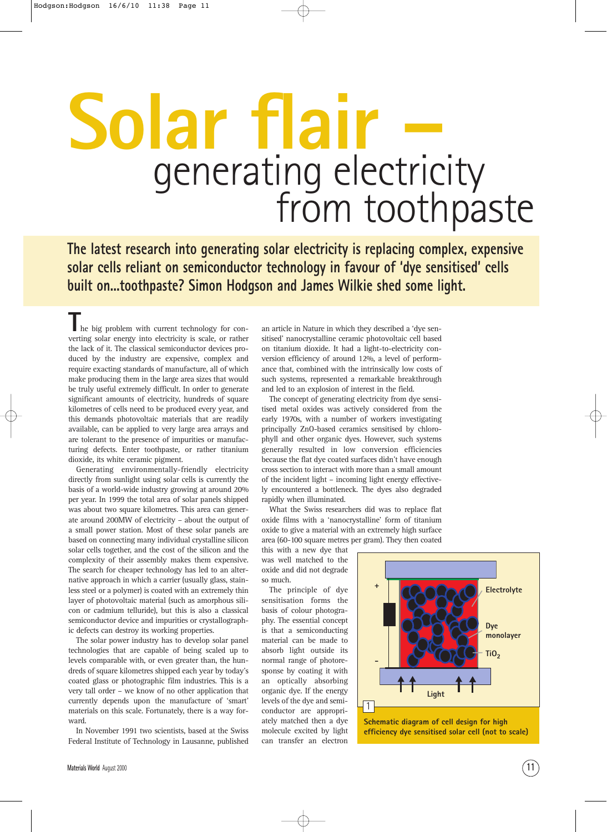## generating electricity **Solar flair –** from toothpaste

**The latest research into generating solar electricity is replacing complex, expensive solar cells reliant on semiconductor technology in favour of 'dye sensitised' cells built on...toothpaste? Simon Hodgson and James Wilkie shed some light.**

he big problem with current technology for converting solar energy into electricity is scale, or rather the lack of it. The classical semiconductor devices produced by the industry are expensive, complex and require exacting standards of manufacture, all of which make producing them in the large area sizes that would be truly useful extremely difficult. In order to generate significant amounts of electricity, hundreds of square kilometres of cells need to be produced every year, and this demands photovoltaic materials that are readily available, can be applied to very large area arrays and are tolerant to the presence of impurities or manufacturing defects. Enter toothpaste, or rather titanium dioxide, its white ceramic pigment.

Generating environmentally-friendly electricity directly from sunlight using solar cells is currently the basis of a world-wide industry growing at around 20% per year. In 1999 the total area of solar panels shipped was about two square kilometres. This area can generate around 200MW of electricity – about the output of a small power station. Most of these solar panels are based on connecting many individual crystalline silicon solar cells together, and the cost of the silicon and the complexity of their assembly makes them expensive. The search for cheaper technology has led to an alternative approach in which a carrier (usually glass, stainless steel or a polymer) is coated with an extremely thin layer of photovoltaic material (such as amorphous silicon or cadmium telluride), but this is also a classical semiconductor device and impurities or crystallographic defects can destroy its working properties.

The solar power industry has to develop solar panel technologies that are capable of being scaled up to levels comparable with, or even greater than, the hundreds of square kilometres shipped each year by today's coated glass or photographic film industries. This is a very tall order – we know of no other application that currently depends upon the manufacture of 'smart' materials on this scale. Fortunately, there is a way forward.

In November 1991 two scientists, based at the Swiss Federal Institute of Technology in Lausanne, published an article in Nature in which they described a 'dye sensitised' nanocrystalline ceramic photovoltaic cell based on titanium dioxide. It had a light-to-electricity conversion efficiency of around 12%, a level of performance that, combined with the intrinsically low costs of such systems, represented a remarkable breakthrough and led to an explosion of interest in the field.

The concept of generating electricity from dye sensitised metal oxides was actively considered from the early 1970s, with a number of workers investigating principally ZnO-based ceramics sensitised by chlorophyll and other organic dyes. However, such systems generally resulted in low conversion efficiencies because the flat dye coated surfaces didn't have enough cross section to interact with more than a small amount of the incident light – incoming light energy effectively encountered a bottleneck. The dyes also degraded rapidly when illuminated.

What the Swiss researchers did was to replace flat oxide films with a 'nanocrystalline' form of titanium oxide to give a material with an extremely high surface area (60-100 square metres per gram). They then coated

this with a new dye that was well matched to the oxide and did not degrade so much.

The principle of dye sensitisation forms the basis of colour photography. The essential concept is that a semiconducting material can be made to absorb light outside its normal range of photoresponse by coating it with an optically absorbing organic dye. If the energy levels of the dye and semiconductor are appropriately matched then a dye molecule excited by light can transfer an electron



**efficiency dye sensitised solar cell (not to scale)**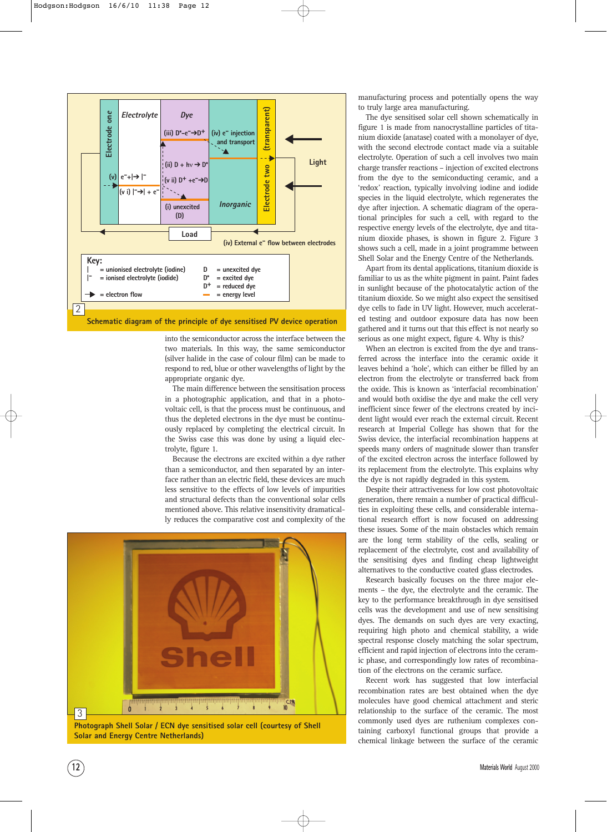

into the semiconductor across the interface between the two materials. In this way, the same semiconductor (silver halide in the case of colour film) can be made to respond to red, blue or other wavelengths of light by the appropriate organic dye.

The main difference between the sensitisation process in a photographic application, and that in a photovoltaic cell, is that the process must be continuous, and thus the depleted electrons in the dye must be continuously replaced by completing the electrical circuit. In the Swiss case this was done by using a liquid electrolyte, figure 1.

Because the electrons are excited within a dye rather than a semiconductor, and then separated by an interface rather than an electric field, these devices are much less sensitive to the effects of low levels of impurities and structural defects than the conventional solar cells mentioned above. This relative insensitivity dramatically reduces the comparative cost and complexity of the



**Photograph Shell Solar / ECN dye sensitised solar cell (courtesy of Shell Solar and Energy Centre Netherlands)**

manufacturing process and potentially opens the way to truly large area manufacturing.

The dye sensitised solar cell shown schematically in figure 1 is made from nanocrystalline particles of titanium dioxide (anatase) coated with a monolayer of dye, with the second electrode contact made via a suitable electrolyte. Operation of such a cell involves two main charge transfer reactions – injection of excited electrons from the dye to the semiconducting ceramic, and a 'redox' reaction, typically involving iodine and iodide species in the liquid electrolyte, which regenerates the dye after injection. A schematic diagram of the operational principles for such a cell, with regard to the respective energy levels of the electrolyte, dye and titanium dioxide phases, is shown in figure 2. Figure 3 shows such a cell, made in a joint programme between Shell Solar and the Energy Centre of the Netherlands.

Apart from its dental applications, titanium dioxide is familiar to us as the white pigment in paint. Paint fades in sunlight because of the photocatalytic action of the titanium dioxide. So we might also expect the sensitised dye cells to fade in UV light. However, much accelerated testing and outdoor exposure data has now been gathered and it turns out that this effect is not nearly so serious as one might expect, figure 4. Why is this?

When an electron is excited from the dye and transferred across the interface into the ceramic oxide it leaves behind a 'hole', which can either be filled by an electron from the electrolyte or transferred back from the oxide. This is known as 'interfacial recombination' and would both oxidise the dye and make the cell very inefficient since fewer of the electrons created by incident light would ever reach the external circuit. Recent research at Imperial College has shown that for the Swiss device, the interfacial recombination happens at speeds many orders of magnitude slower than transfer of the excited electron across the interface followed by its replacement from the electrolyte. This explains why the dye is not rapidly degraded in this system.

Despite their attractiveness for low cost photovoltaic generation, there remain a number of practical difficulties in exploiting these cells, and considerable international research effort is now focused on addressing these issues. Some of the main obstacles which remain are the long term stability of the cells, sealing or replacement of the electrolyte, cost and availability of the sensitising dyes and finding cheap lightweight alternatives to the conductive coated glass electrodes.

Research basically focuses on the three major elements – the dye, the electrolyte and the ceramic. The key to the performance breakthrough in dye sensitised cells was the development and use of new sensitising dyes. The demands on such dyes are very exacting, requiring high photo and chemical stability, a wide spectral response closely matching the solar spectrum, efficient and rapid injection of electrons into the ceramic phase, and correspondingly low rates of recombination of the electrons on the ceramic surface.

Recent work has suggested that low interfacial recombination rates are best obtained when the dye molecules have good chemical attachment and steric relationship to the surface of the ceramic. The most commonly used dyes are ruthenium complexes containing carboxyl functional groups that provide a chemical linkage between the surface of the ceramic